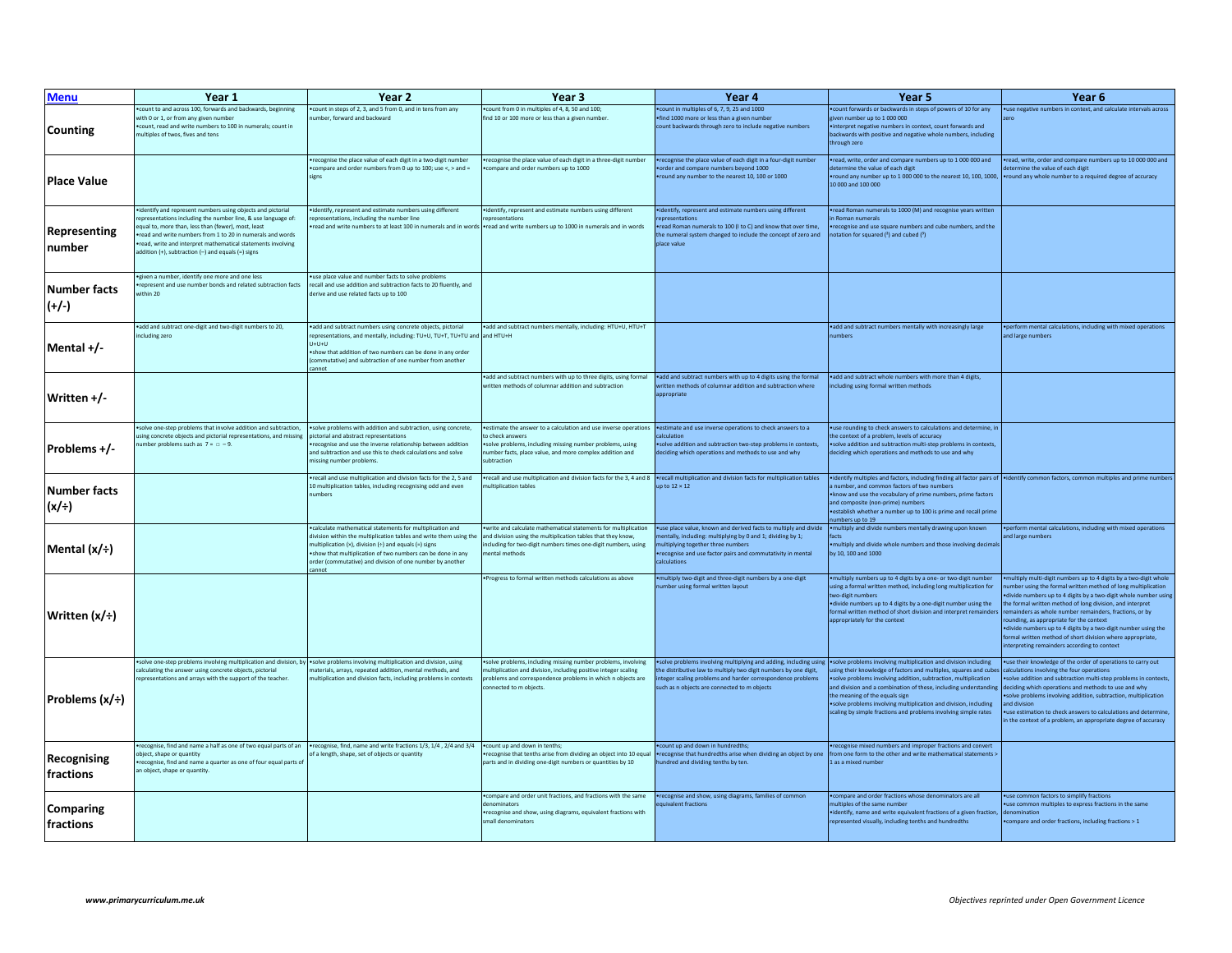| <b>Menu</b>                       | Year 1                                                                                                                                                                                                                                                                                                                                                                     | Year 2                                                                                                                                                                                                                                                                                                                            | Year <sub>3</sub>                                                                                                                                                                                                           | Year 4                                                                                                                                                                                                                                                                                                              | Year 5                                                                                                                                                                                                                                                                                                                                                                                                                                                                            | Year 6                                                                                                                                                                                                                                                                                                                                                                                                                                                                                                                                                       |
|-----------------------------------|----------------------------------------------------------------------------------------------------------------------------------------------------------------------------------------------------------------------------------------------------------------------------------------------------------------------------------------------------------------------------|-----------------------------------------------------------------------------------------------------------------------------------------------------------------------------------------------------------------------------------------------------------------------------------------------------------------------------------|-----------------------------------------------------------------------------------------------------------------------------------------------------------------------------------------------------------------------------|---------------------------------------------------------------------------------------------------------------------------------------------------------------------------------------------------------------------------------------------------------------------------------------------------------------------|-----------------------------------------------------------------------------------------------------------------------------------------------------------------------------------------------------------------------------------------------------------------------------------------------------------------------------------------------------------------------------------------------------------------------------------------------------------------------------------|--------------------------------------------------------------------------------------------------------------------------------------------------------------------------------------------------------------------------------------------------------------------------------------------------------------------------------------------------------------------------------------------------------------------------------------------------------------------------------------------------------------------------------------------------------------|
| Counting                          | count to and across 100, forwards and backwards, beginning<br>with 0 or 1, or from any given number<br>.count, read and write numbers to 100 in numerals; count in<br>multiples of twos, fives and tens                                                                                                                                                                    | count in steps of 2, 3, and 5 from 0, and in tens from any<br>jumber, forward and backward                                                                                                                                                                                                                                        | count from 0 in multiples of 4, 8, 50 and 100;<br>find 10 or 100 more or less than a given number                                                                                                                           | count in multiples of 6, 7, 9, 25 and 1000<br>. find 1000 more or less than a given number<br>ount backwards through zero to include negative numbers                                                                                                                                                               | . count forwards or backwards in steps of powers of 10 for any<br>given number up to 1 000 000<br>. interpret negative numbers in context, count forwards and<br>backwards with positive and negative whole numbers, including<br>through zero                                                                                                                                                                                                                                    | use negative numbers in context, and calculate intervals across                                                                                                                                                                                                                                                                                                                                                                                                                                                                                              |
| <b>Place Value</b>                |                                                                                                                                                                                                                                                                                                                                                                            | recognise the place value of each digit in a two-digit number<br>compare and order numbers from 0 up to 100; use <, > and =                                                                                                                                                                                                       | recognise the place value of each digit in a three-digit number<br>. compare and order numbers up to 1000                                                                                                                   | •recognise the place value of each digit in a four-digit number<br>. order and compare numbers beyond 1000<br>round any number to the nearest 10, 100 or 1000                                                                                                                                                       | .read, write, order and compare numbers up to 1 000 000 and<br>determine the value of each digit<br>. round any number up to 1 000 000 to the nearest 10, 100, 1000,<br>10 000 and 100 000                                                                                                                                                                                                                                                                                        | read, write, order and compare numbers up to 10 000 000 and<br>determine the value of each digit<br>•round any whole number to a required degree of accuracy                                                                                                                                                                                                                                                                                                                                                                                                 |
| Representing<br>number            | ·identify and represent numbers using objects and pictorial<br>representations including the number line, & use language of:<br>equal to, more than, less than (fewer), most, least<br>read and write numbers from 1 to 20 in numerals and words<br>.<br>read, write and interpret mathematical statements involving<br>addition (+), subtraction (-) and equals (=) signs | identify, represent and estimate numbers using different<br>epresentations, including the number line                                                                                                                                                                                                                             | identify, represent and estimate numbers using different<br>representations<br>read and write numbers to at least 100 in numerals and in words •read and write numbers up to 1000 in numerals and in words                  | • identify, represent and estimate numbers using different<br>epresentations<br>.read Roman numerals to 100 (I to C) and know that over time,<br>he numeral system changed to include the concept of zero and<br>place value                                                                                        | •read Roman numerals to 1000 (M) and recognise years written<br>n Roman numerals<br>. recognise and use square numbers and cube numbers, and the<br>notation for squared (2) and cubed (3)                                                                                                                                                                                                                                                                                        |                                                                                                                                                                                                                                                                                                                                                                                                                                                                                                                                                              |
| Number facts<br>$(+/-)$           | .eiven a number, identify one more and one less<br>•represent and use number bonds and related subtraction facts<br>vithin 20                                                                                                                                                                                                                                              | use place value and number facts to solve problems<br>recall and use addition and subtraction facts to 20 fluently, and<br>derive and use related facts up to 100                                                                                                                                                                 |                                                                                                                                                                                                                             |                                                                                                                                                                                                                                                                                                                     |                                                                                                                                                                                                                                                                                                                                                                                                                                                                                   |                                                                                                                                                                                                                                                                                                                                                                                                                                                                                                                                                              |
| Mental $+/-$                      | .add and subtract one-digit and two-digit numbers to 20,<br>including zero                                                                                                                                                                                                                                                                                                 | ·add and subtract numbers using concrete objects, pictorial<br>representations, and mentally, including: TU+U, TU+T, TU+TU and and HTU+H<br>$U + U + U$<br>.show that addition of two numbers can be done in any order<br>(commutative) and subtraction of one number from another<br>annot                                       | .add and subtract numbers mentally, including: HTU+U, HTU+T                                                                                                                                                                 |                                                                                                                                                                                                                                                                                                                     | .add and subtract numbers mentally with increasingly large<br>numbers                                                                                                                                                                                                                                                                                                                                                                                                             | . perform mental calculations, including with mixed operations<br>and large numbers                                                                                                                                                                                                                                                                                                                                                                                                                                                                          |
| Written $+/-$                     |                                                                                                                                                                                                                                                                                                                                                                            |                                                                                                                                                                                                                                                                                                                                   | written methods of columnar addition and subtraction                                                                                                                                                                        | .add and subtract numbers with up to three digits, using formal eadd and subtract numbers with up to 4 digits using the formal<br>vritten methods of columnar addition and subtraction where<br>appropriate                                                                                                         | .add and subtract whole numbers with more than 4 digits,<br>including using formal written methods                                                                                                                                                                                                                                                                                                                                                                                |                                                                                                                                                                                                                                                                                                                                                                                                                                                                                                                                                              |
| Problems +/-                      | .solve one-step problems that involve addition and subtraction.<br>using concrete objects and pictorial representations, and missing<br>mber problems such as $7 = \Box -9$ .                                                                                                                                                                                              | *solve problems with addition and subtraction, using concrete,<br>pictorial and abstract representations<br>recognise and use the inverse relationship between addition<br>and subtraction and use this to check calculations and solve<br>nissing number problems                                                                | . estimate the answer to a calculation and use inverse operations<br>to check answers<br>solve problems, including missing number problems, using<br>umber facts, place value, and more complex addition and<br>subtraction | . estimate and use inverse operations to check answers to a<br>·solve addition and subtraction two-step problems in contexts.<br>leciding which operations and methods to use and why                                                                                                                               | .use rounding to check answers to calculations and determine, in<br>the context of a problem, levels of accuracy<br>.solve addition and subtraction multi-step problems in contexts.<br>deciding which operations and methods to use and why                                                                                                                                                                                                                                      |                                                                                                                                                                                                                                                                                                                                                                                                                                                                                                                                                              |
| <b>Number facts</b><br>$(x/\div)$ |                                                                                                                                                                                                                                                                                                                                                                            | •recall and use multiplication and division facts for the 2, 5 and<br>10 multiplication tables, including recognising odd and even<br>umbers                                                                                                                                                                                      | •recall and use multiplication and division facts for the 3, 4 and 8 •recall multiplication and division facts for multiplication tables<br>multiplication table:                                                           | up to $12 \times 12$                                                                                                                                                                                                                                                                                                | a number, and common factors of two numbers<br>. know and use the vocabulary of prime numbers, prime factors<br>and composite (non-prime) numbers<br>*establish whether a number up to 100 is prime and recall prime<br>numbers up to 19                                                                                                                                                                                                                                          | identify multiples and factors, including finding all factor pairs of identify common factors, common multiples and prime numbers                                                                                                                                                                                                                                                                                                                                                                                                                            |
| Mental $(x/\div)$                 |                                                                                                                                                                                                                                                                                                                                                                            | .calculate mathematical statements for multiplication and<br>division within the multiplication tables and write them using the<br>multiplication (x), division (+) and equals (=) signs<br>.<br>show that multiplication of two numbers can be done in any<br>order (commutative) and division of one number by another<br>annot | . write and calculate mathematical statements for multiplication<br>and division using the multiplication tables that they know,<br>ncluding for two-digit numbers times one-digit numbers, using<br>nental methods         | • use place value, known and derived facts to multiply and divide rulliply and divide numbers mentally drawing upon known<br>nentally, including: multiplying by 0 and 1; dividing by 1;<br>nultiplying together three numbers<br>recognise and use factor pairs and commutativity in mental<br>alculations         | . multiply and divide whole numbers and those involving decimals<br>by 10, 100 and 1000                                                                                                                                                                                                                                                                                                                                                                                           | *perform mental calculations, including with mixed operations<br>and large numbers                                                                                                                                                                                                                                                                                                                                                                                                                                                                           |
| Written $(x/\div)$                |                                                                                                                                                                                                                                                                                                                                                                            |                                                                                                                                                                                                                                                                                                                                   | . Progress to formal written methods calculations as above                                                                                                                                                                  | . multiply two-digit and three-digit numbers by a one-digit<br>umber using formal written layout                                                                                                                                                                                                                    | . multiply numbers up to 4 digits by a one- or two-digit number<br>using a formal written method, including long multiplication for<br>two-digit numbers<br>. divide numbers up to 4 digits by a one-digit number using the<br>formal written method of short division and interpret remainders<br>appropriately for the context                                                                                                                                                  | . multiply multi-digit numbers up to 4 digits by a two-digit whole<br>umber using the formal written method of long multiplication<br>. divide numbers up to 4 digits by a two-digit whole number using<br>the formal written method of long division, and interpret<br>remainders as whole number remainders, fractions, or by<br>rounding, as appropriate for the context<br>. divide numbers up to 4 digits by a two-digit number using the<br>formal written method of short division where appropriate,<br>interpreting remainders according to context |
| Problems $(x/\div)$               | solve one-step problems involving multiplication and division, by solve problems involving multiplication and division, using<br>calculating the answer using concrete objects, pictorial<br>representations and arrays with the support of the teacher.                                                                                                                   | materials, arrays, repeated addition, mental methods, and<br>nultiplication and division facts, including problems in contexts                                                                                                                                                                                                    | solve problems, including missing number problems, involving<br>nultiplication and division, including positive integer scaling<br>problems and correspondence problems in which n objects are<br>connected to m objects    | .solve problems involving multiplying and adding, including using . solve problems involving multiplication and division including<br>the distributive law to multiply two digit numbers by one digit.<br>nteger scaling problems and harder correspondence problems<br>uch as n objects are connected to m objects | using their knowledge of factors and multiples, squares and cubes calculations involving the four operations<br>·solve problems involving addition, subtraction, multiplication<br>and division and a combination of these, including understanding deciding which operations and methods to use and why<br>the meaning of the equals sign<br>.solve problems involving multiplication and division, including<br>scaling by simple fractions and problems involving simple rates | •use their knowledge of the order of operations to carry out<br>.solve addition and subtraction multi-step problems in contexts<br>.solve problems involving addition, subtraction, multiplication<br>and division<br>.use estimation to check answers to calculations and determine<br>in the context of a problem, an appropriate degree of accuracy                                                                                                                                                                                                       |
| Recognising<br>fractions          | •recognise, find and name a half as one of two equal parts of an<br>phiect, shape or quantity<br>•recognise, find and name a quarter as one of four equal parts of<br>an object, shape or quantity.                                                                                                                                                                        | •recognise, find, name and write fractions 1/3, 1/4, 2/4 and 3/4 . count up and down in tenths;<br>of a length, shape, set of objects or quantity                                                                                                                                                                                 | recognise that tenths arise from dividing an object into 10 equal<br>parts and in dividing one-digit numbers or quantities by 10                                                                                            | . count up and down in hundredths<br>• recognise that hundredths arise when dividing an object by one   from one form to the other and write mathematical statements ><br>hundred and dividing tenths by ten.                                                                                                       | •recognise mixed numbers and improper fractions and convert<br>1 as a mixed number                                                                                                                                                                                                                                                                                                                                                                                                |                                                                                                                                                                                                                                                                                                                                                                                                                                                                                                                                                              |
| Comparing<br>fractions            |                                                                                                                                                                                                                                                                                                                                                                            |                                                                                                                                                                                                                                                                                                                                   | . compare and order unit fractions, and fractions with the same<br>denominators<br>· recognise and show, using diagrams, equivalent fractions with<br>small denominators                                                    | • recognise and show, using diagrams, families of common<br>uivalent fractions                                                                                                                                                                                                                                      | . compare and order fractions whose denominators are all<br>multiples of the same number<br>·identify, name and write equivalent fractions of a given fraction<br>represented visually, including tenths and hundredths                                                                                                                                                                                                                                                           | ·use common factors to simplify fractions<br>.use common multiples to express fractions in the same<br>denomination<br>. compare and order fractions, including fractions > 1                                                                                                                                                                                                                                                                                                                                                                                |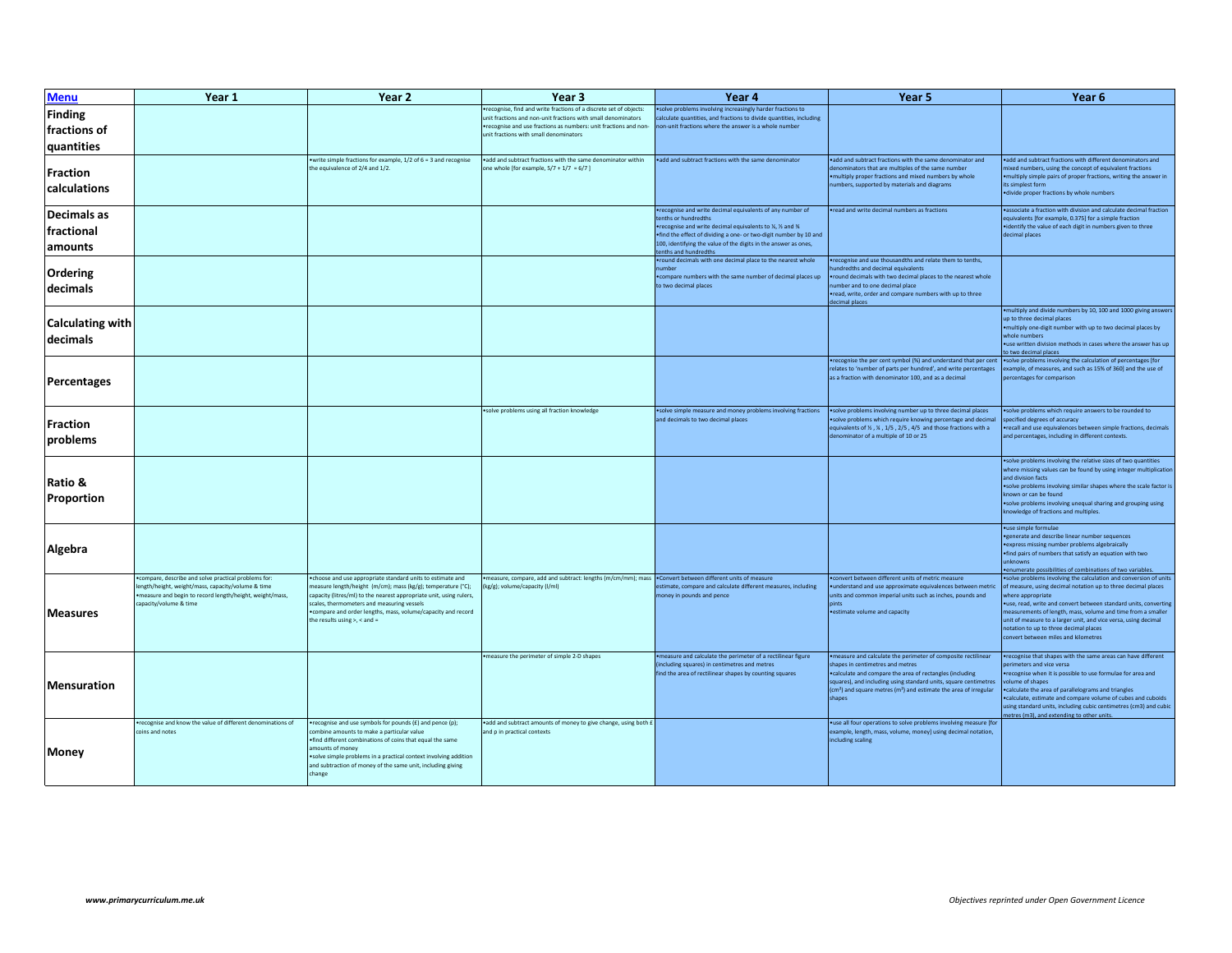| <b>Menu</b>                                  | Year 1                                                                                                                                                                                          | Year 2                                                                                                                                                                                                                                                                                                                                                  | Year 3                                                                                                                                                                                                                                              | Year 4                                                                                                                                                                                                                                                                                                          | Year <sub>5</sub>                                                                                                                                                                                                                                                                                                                          | Year <sub>6</sub>                                                                                                                                                                                                                                                                                                                                                                                                                               |
|----------------------------------------------|-------------------------------------------------------------------------------------------------------------------------------------------------------------------------------------------------|---------------------------------------------------------------------------------------------------------------------------------------------------------------------------------------------------------------------------------------------------------------------------------------------------------------------------------------------------------|-----------------------------------------------------------------------------------------------------------------------------------------------------------------------------------------------------------------------------------------------------|-----------------------------------------------------------------------------------------------------------------------------------------------------------------------------------------------------------------------------------------------------------------------------------------------------------------|--------------------------------------------------------------------------------------------------------------------------------------------------------------------------------------------------------------------------------------------------------------------------------------------------------------------------------------------|-------------------------------------------------------------------------------------------------------------------------------------------------------------------------------------------------------------------------------------------------------------------------------------------------------------------------------------------------------------------------------------------------------------------------------------------------|
| <b>Finding</b><br>fractions of<br>quantities |                                                                                                                                                                                                 |                                                                                                                                                                                                                                                                                                                                                         | • recognise, find and write fractions of a discrete set of objects:<br>unit fractions and non-unit fractions with small denominators<br>• recognise and use fractions as numbers: unit fractions and non-<br>unit fractions with small denominators | . solve problems involving increasingly harder fractions to<br>calculate quantities, and fractions to divide quantities, including<br>non-unit fractions where the answer is a whole number                                                                                                                     |                                                                                                                                                                                                                                                                                                                                            |                                                                                                                                                                                                                                                                                                                                                                                                                                                 |
| <b>Fraction</b><br>calculations              |                                                                                                                                                                                                 | write simple fractions for example, $1/2$ of $6 = 3$ and recognise<br>the equivalence of 2/4 and 1/2.                                                                                                                                                                                                                                                   | .add and subtract fractions with the same denominator within<br>one whole [for example, $5/7 + 1/7 = 6/7$ ]                                                                                                                                         | .add and subtract fractions with the same denominator                                                                                                                                                                                                                                                           | .add and subtract fractions with the same denominator and<br>denominators that are multiples of the same number<br>. multiply proper fractions and mixed numbers by whole<br>numbers, supported by materials and diagrams                                                                                                                  | .add and subtract fractions with different denominators and<br>mixed numbers, using the concept of equivalent fractions<br>. multiply simple pairs of proper fractions, writing the answer in<br>its simplest form<br>·divide proper fractions by whole numbers                                                                                                                                                                                 |
| Decimals as<br>fractional<br>amounts         |                                                                                                                                                                                                 |                                                                                                                                                                                                                                                                                                                                                         |                                                                                                                                                                                                                                                     | • recognise and write decimal equivalents of any number of<br>tenths or hundredths<br>• recognise and write decimal equivalents to %. % and %<br>. find the effect of dividing a one- or two-digit number by 10 and<br>100, identifying the value of the digits in the answer as ones,<br>tenths and hundredths | .read and write decimal numbers as fractions                                                                                                                                                                                                                                                                                               | . associate a fraction with division and calculate decimal fraction<br>equivalents [for example, 0.375] for a simple fraction<br>.identify the value of each digit in numbers given to three<br>decimal places                                                                                                                                                                                                                                  |
| Ordering<br>decimals                         |                                                                                                                                                                                                 |                                                                                                                                                                                                                                                                                                                                                         |                                                                                                                                                                                                                                                     | . round decimals with one decimal place to the nearest whole<br>umher<br>compare numbers with the same number of decimal places up<br>to two decimal places                                                                                                                                                     | •recognise and use thousandths and relate them to tenths,<br>undredths and decimal equivalents<br>. round decimals with two decimal places to the nearest whole<br>umber and to one decimal place<br>.read, write, order and compare numbers with up to three<br>decimal places                                                            |                                                                                                                                                                                                                                                                                                                                                                                                                                                 |
| <b>Calculating with</b><br>decimals          |                                                                                                                                                                                                 |                                                                                                                                                                                                                                                                                                                                                         |                                                                                                                                                                                                                                                     |                                                                                                                                                                                                                                                                                                                 |                                                                                                                                                                                                                                                                                                                                            | . multiply and divide numbers by 10, 100 and 1000 giving answers<br>up to three decimal places<br>.multiply one-digit number with up to two decimal places by<br>whole numbers<br>.use written division methods in cases where the answer has up<br>to two decimal places                                                                                                                                                                       |
| Percentages                                  |                                                                                                                                                                                                 |                                                                                                                                                                                                                                                                                                                                                         |                                                                                                                                                                                                                                                     |                                                                                                                                                                                                                                                                                                                 | •recognise the per cent symbol (%) and understand that per cent •solve problems involving the calculation of percentages [for<br>relates to 'number of parts per hundred', and write percentages<br>as a fraction with denominator 100, and as a decimal                                                                                   | example, of measures, and such as 15% of 360] and the use of<br>percentages for comparison                                                                                                                                                                                                                                                                                                                                                      |
| <b>Fraction</b><br>problems                  |                                                                                                                                                                                                 |                                                                                                                                                                                                                                                                                                                                                         | ·solve problems using all fraction knowledge                                                                                                                                                                                                        | . solve simple measure and money problems involving fractions<br>and decimals to two decimal places                                                                                                                                                                                                             | .solve problems involving number up to three decimal places<br>.solve problems which require knowing percentage and decimal<br>equivalents of $\frac{1}{2}$ , $\frac{1}{3}$ , $\frac{1}{5}$ , 2/5, 4/5 and those fractions with a<br>denominator of a multiple of 10 or 25                                                                 | .solve problems which require answers to be rounded to<br>specified degrees of accuracy<br>. recall and use equivalences between simple fractions, decimals<br>and percentages, including in different contexts.                                                                                                                                                                                                                                |
| Ratio &<br>Proportion                        |                                                                                                                                                                                                 |                                                                                                                                                                                                                                                                                                                                                         |                                                                                                                                                                                                                                                     |                                                                                                                                                                                                                                                                                                                 |                                                                                                                                                                                                                                                                                                                                            | .solve problems involving the relative sizes of two quantities<br>where missing values can be found by using integer multiplication<br>and division facts<br>.solve problems involving similar shapes where the scale factor is<br>known or can be found.<br>.solve problems involving unequal sharing and grouping using<br>knowledge of fractions and multiples.                                                                              |
| Algebra                                      |                                                                                                                                                                                                 |                                                                                                                                                                                                                                                                                                                                                         |                                                                                                                                                                                                                                                     |                                                                                                                                                                                                                                                                                                                 |                                                                                                                                                                                                                                                                                                                                            | ·use simple formulae<br>• generate and describe linear number sequences<br>• express missing number problems algebraically<br>. find pairs of numbers that satisfy an equation with two<br><b>unknowns</b><br>.enumerate possibilities of combinations of two variables.                                                                                                                                                                        |
| <b>Measures</b>                              | .compare, describe and solve practical problems for:<br>length/height, weight/mass, capacity/volume & time<br>measure and begin to record length/height, weight/mass,<br>capacity/volume & time | . choose and use appropriate standard units to estimate and<br>measure length/height (m/cm); mass (kg/g); temperature (°C);<br>capacity (litres/ml) to the nearest appropriate unit, using rulers,<br>scales, thermometers and measuring vessels<br>.compare and order lengths, mass, volume/capacity and record<br>the results using $>$ , $<$ and $=$ | • measure, compare, add and subtract: lengths (m/cm/mm); mass • Convert between different units of measure<br>(kg/g); volume/capacity (I/ml)                                                                                                        | estimate, compare and calculate different measures, including<br>noney in pounds and pence                                                                                                                                                                                                                      | .convert between different units of metric measure<br>· understand and use approximate equivalences between metric<br>units and common imperial units such as inches, pounds and<br>·estimate volume and capacity                                                                                                                          | .solve problems involving the calculation and conversion of units<br>of measure, using decimal notation up to three decimal places<br>where appropriate<br>use, read, write and convert between standard units, converting<br>measurements of length, mass, volume and time from a smaller<br>unit of measure to a larger unit, and vice versa, using decimal<br>notation to up to three decimal places<br>convert between miles and kilometres |
| <b>Mensuration</b>                           |                                                                                                                                                                                                 |                                                                                                                                                                                                                                                                                                                                                         | . measure the perimeter of simple 2-D shapes                                                                                                                                                                                                        | . measure and calculate the perimeter of a rectilinear figure<br>(including squares) in centimetres and metres<br>find the area of rectilinear shapes by counting squares                                                                                                                                       | . measure and calculate the perimeter of composite rectilinear<br>shapes in centimetres and metres<br>. calculate and compare the area of rectangles (including<br>squares), and including using standard units, square centimetres<br>(cm <sup>2</sup> ) and square metres (m <sup>2</sup> ) and estimate the area of irregular<br>shapes | •recognise that shapes with the same areas can have different<br>perimeters and vice versa<br>recognise when it is possible to use formulae for area and<br>volume of shapes<br>. calculate the area of parallelograms and triangles<br>.calculate, estimate and compare volume of cubes and cuboids<br>using standard units, including cubic centimetres (cm3) and cubic<br>metres (m3), and extending to other units.                         |
| Money                                        | •recognise and know the value of different denominations of<br>coins and notes                                                                                                                  | •recognise and use symbols for pounds (£) and pence (p);<br>combine amounts to make a particular value<br>. find different combinations of coins that equal the same<br>mounts of money<br>solve simple problems in a practical context involving addition<br>and subtraction of money of the same unit, including giving<br>change                     | .add and subtract amounts of money to give change, using both £<br>and p in practical contexts                                                                                                                                                      |                                                                                                                                                                                                                                                                                                                 | · use all four operations to solve problems involving measure [for<br>example, length, mass, volume, money] using decimal notation,<br>including scaling                                                                                                                                                                                   |                                                                                                                                                                                                                                                                                                                                                                                                                                                 |